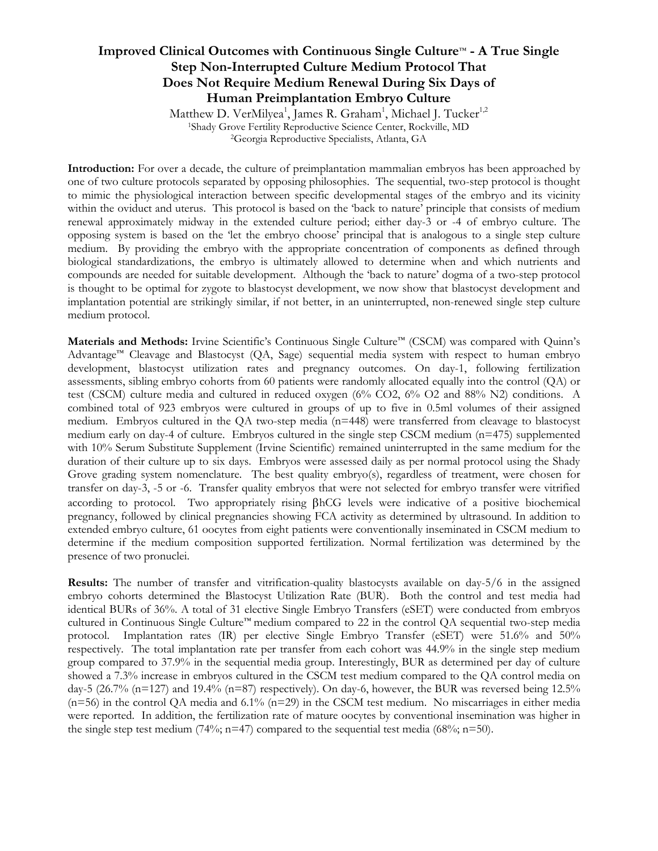## **Improved Clinical Outcomes with Continuous Single Culture**™ **- A True Single Step Non-Interrupted Culture Medium Protocol That Does Not Require Medium Renewal During Six Days of Human Preimplantation Embryo Culture**

Matthew D. VerMilyea<sup>1</sup>, James R. Graham<sup>1</sup>, Michael J. Tucker<sup>1,2</sup> <sup>1</sup>Shady Grove Fertility Reproductive Science Center, Rockville, MD <sup>2</sup>Georgia Reproductive Specialists, Atlanta, GA

**Introduction:** For over a decade, the culture of preimplantation mammalian embryos has been approached by one of two culture protocols separated by opposing philosophies. The sequential, two-step protocol is thought to mimic the physiological interaction between specific developmental stages of the embryo and its vicinity within the oviduct and uterus. This protocol is based on the 'back to nature' principle that consists of medium renewal approximately midway in the extended culture period; either day-3 or -4 of embryo culture. The opposing system is based on the 'let the embryo choose' principal that is analogous to a single step culture medium. By providing the embryo with the appropriate concentration of components as defined through biological standardizations, the embryo is ultimately allowed to determine when and which nutrients and compounds are needed for suitable development. Although the 'back to nature' dogma of a two-step protocol is thought to be optimal for zygote to blastocyst development, we now show that blastocyst development and implantation potential are strikingly similar, if not better, in an uninterrupted, non-renewed single step culture medium protocol.

**Materials and Methods:** Irvine Scientific's Continuous Single Culture™ (CSCM) was compared with Quinn's Advantage™ Cleavage and Blastocyst (QA, Sage) sequential media system with respect to human embryo development, blastocyst utilization rates and pregnancy outcomes. On day-1, following fertilization assessments, sibling embryo cohorts from 60 patients were randomly allocated equally into the control (QA) or test (CSCM) culture media and cultured in reduced oxygen (6% CO2, 6% O2 and 88% N2) conditions. A combined total of 923 embryos were cultured in groups of up to five in 0.5ml volumes of their assigned medium. Embryos cultured in the QA two-step media (n=448) were transferred from cleavage to blastocyst medium early on day-4 of culture. Embryos cultured in the single step CSCM medium (n=475) supplemented with 10% Serum Substitute Supplement (Irvine Scientific) remained uninterrupted in the same medium for the duration of their culture up to six days. Embryos were assessed daily as per normal protocol using the Shady Grove grading system nomenclature. The best quality embryo(s), regardless of treatment, were chosen for transfer on day-3, -5 or -6. Transfer quality embryos that were not selected for embryo transfer were vitrified according to protocol. Two appropriately rising  $\beta$ hCG levels were indicative of a positive biochemical pregnancy, followed by clinical pregnancies showing FCA activity as determined by ultrasound. In addition to extended embryo culture, 61 oocytes from eight patients were conventionally inseminated in CSCM medium to determine if the medium composition supported fertilization. Normal fertilization was determined by the presence of two pronuclei.

**Results:** The number of transfer and vitrification-quality blastocysts available on day-5/6 in the assigned embryo cohorts determined the Blastocyst Utilization Rate (BUR). Both the control and test media had identical BURs of 36%. A total of 31 elective Single Embryo Transfers (eSET) were conducted from embryos cultured in Continuous Single Culture™ medium compared to 22 in the control QA sequential two-step media protocol. Implantation rates (IR) per elective Single Embryo Transfer (eSET) were 51.6% and 50% respectively. The total implantation rate per transfer from each cohort was 44.9% in the single step medium group compared to 37.9% in the sequential media group. Interestingly, BUR as determined per day of culture showed a 7.3% increase in embryos cultured in the CSCM test medium compared to the QA control media on day-5 (26.7% (n=127) and 19.4% (n=87) respectively). On day-6, however, the BUR was reversed being  $12.5\%$  $(n=56)$  in the control QA media and  $6.1\%$   $(n=29)$  in the CSCM test medium. No miscarriages in either media were reported. In addition, the fertilization rate of mature oocytes by conventional insemination was higher in the single step test medium (74%; n=47) compared to the sequential test media (68%; n=50).